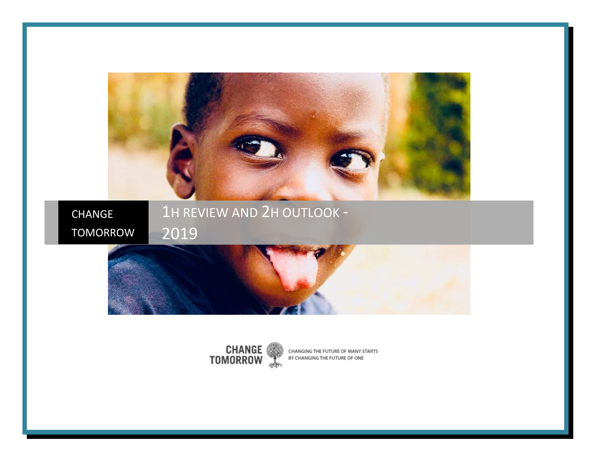

CHANGE TOMORROW 1H REVIEW AND 2H OUTLOOK -





CHANGING THE FUTURE OF MANY STARTS BY CHANGING THE FUTURE OF ONE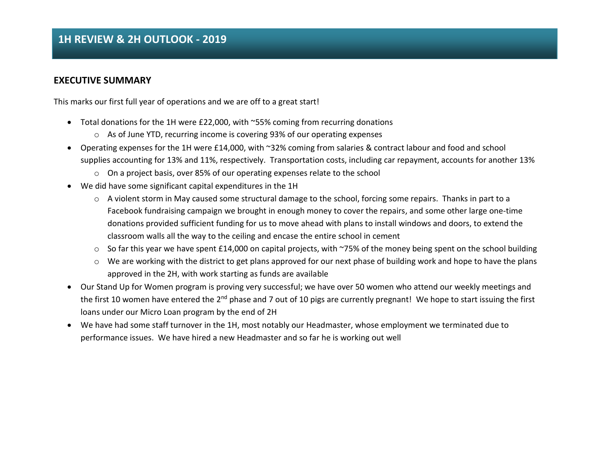### **EXECUTIVE SUMMARY**

This marks our first full year of operations and we are off to a great start!

- Total donations for the 1H were £22,000, with ~55% coming from recurring donations
	- $\circ$  As of June YTD, recurring income is covering 93% of our operating expenses
- Operating expenses for the 1H were £14,000, with ~32% coming from salaries & contract labour and food and school supplies accounting for 13% and 11%, respectively. Transportation costs, including car repayment, accounts for another 13%
	- o On a project basis, over 85% of our operating expenses relate to the school
- We did have some significant capital expenditures in the 1H
	- $\circ$  A violent storm in May caused some structural damage to the school, forcing some repairs. Thanks in part to a Facebook fundraising campaign we brought in enough money to cover the repairs, and some other large one-time donations provided sufficient funding for us to move ahead with plans to install windows and doors, to extend the classroom walls all the way to the ceiling and encase the entire school in cement
	- $\circ$  So far this year we have spent £14,000 on capital projects, with ~75% of the money being spent on the school building
	- $\circ$  We are working with the district to get plans approved for our next phase of building work and hope to have the plans approved in the 2H, with work starting as funds are available
- Our Stand Up for Women program is proving very successful; we have over 50 women who attend our weekly meetings and the first 10 women have entered the 2<sup>nd</sup> phase and 7 out of 10 pigs are currently pregnant! We hope to start issuing the first loans under our Micro Loan program by the end of 2H
- We have had some staff turnover in the 1H, most notably our Headmaster, whose employment we terminated due to performance issues. We have hired a new Headmaster and so far he is working out well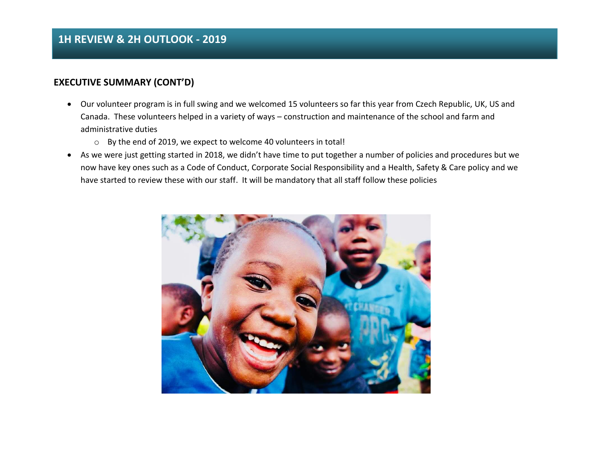### **EXECUTIVE SUMMARY (CONT'D)**

- Our volunteer program is in full swing and we welcomed 15 volunteers so far this year from Czech Republic, UK, US and Canada. These volunteers helped in a variety of ways – construction and maintenance of the school and farm and administrative duties
	- o By the end of 2019, we expect to welcome 40 volunteers in total!
- As we were just getting started in 2018, we didn't have time to put together a number of policies and procedures but we now have key ones such as a Code of Conduct, Corporate Social Responsibility and a Health, Safety & Care policy and we have started to review these with our staff. It will be mandatory that all staff follow these policies

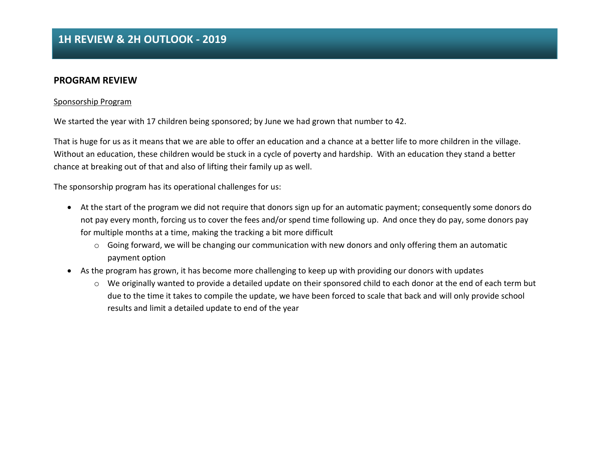### **PROGRAM REVIEW**

#### Sponsorship Program

We started the year with 17 children being sponsored; by June we had grown that number to 42.

That is huge for us as it means that we are able to offer an education and a chance at a better life to more children in the village. Without an education, these children would be stuck in a cycle of poverty and hardship. With an education they stand a better chance at breaking out of that and also of lifting their family up as well.

The sponsorship program has its operational challenges for us:

- At the start of the program we did not require that donors sign up for an automatic payment; consequently some donors do not pay every month, forcing us to cover the fees and/or spend time following up. And once they do pay, some donors pay for multiple months at a time, making the tracking a bit more difficult
	- $\circ$  Going forward, we will be changing our communication with new donors and only offering them an automatic payment option
- As the program has grown, it has become more challenging to keep up with providing our donors with updates
	- o We originally wanted to provide a detailed update on their sponsored child to each donor at the end of each term but due to the time it takes to compile the update, we have been forced to scale that back and will only provide school results and limit a detailed update to end of the year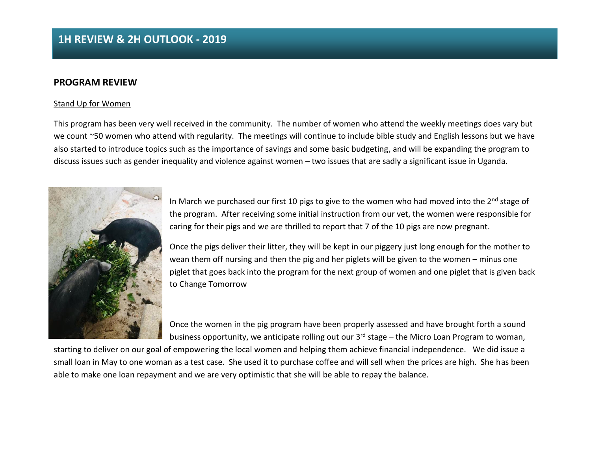#### **PROGRAM REVIEW**

#### Stand Up for Women

This program has been very well received in the community. The number of women who attend the weekly meetings does vary but we count ~50 women who attend with regularity. The meetings will continue to include bible study and English lessons but we have also started to introduce topics such as the importance of savings and some basic budgeting, and will be expanding the program to discuss issues such as gender inequality and violence against women – two issues that are sadly a significant issue in Uganda.



In March we purchased our first 10 pigs to give to the women who had moved into the  $2^{nd}$  stage of the program. After receiving some initial instruction from our vet, the women were responsible for caring for their pigs and we are thrilled to report that 7 of the 10 pigs are now pregnant.

Once the pigs deliver their litter, they will be kept in our piggery just long enough for the mother to wean them off nursing and then the pig and her piglets will be given to the women – minus one piglet that goes back into the program for the next group of women and one piglet that is given back to Change Tomorrow

Once the women in the pig program have been properly assessed and have brought forth a sound business opportunity, we anticipate rolling out our 3<sup>rd</sup> stage – the Micro Loan Program to woman,

starting to deliver on our goal of empowering the local women and helping them achieve financial independence. We did issue a small loan in May to one woman as a test case. She used it to purchase coffee and will sell when the prices are high. She has been able to make one loan repayment and we are very optimistic that she will be able to repay the balance.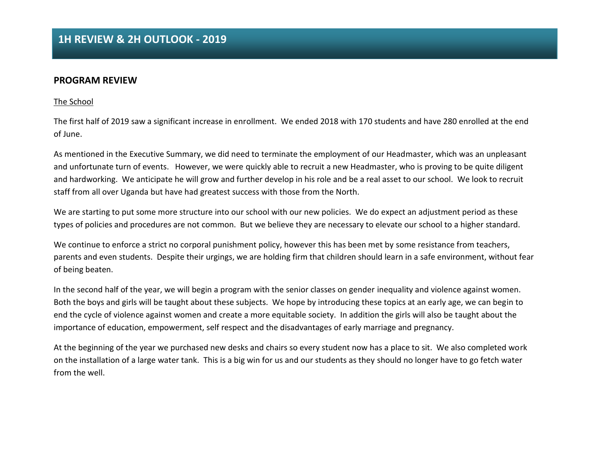#### **PROGRAM REVIEW**

#### The School

The first half of 2019 saw a significant increase in enrollment. We ended 2018 with 170 students and have 280 enrolled at the end of June.

As mentioned in the Executive Summary, we did need to terminate the employment of our Headmaster, which was an unpleasant and unfortunate turn of events. However, we were quickly able to recruit a new Headmaster, who is proving to be quite diligent and hardworking. We anticipate he will grow and further develop in his role and be a real asset to our school. We look to recruit staff from all over Uganda but have had greatest success with those from the North.

We are starting to put some more structure into our school with our new policies. We do expect an adjustment period as these types of policies and procedures are not common. But we believe they are necessary to elevate our school to a higher standard.

We continue to enforce a strict no corporal punishment policy, however this has been met by some resistance from teachers, parents and even students. Despite their urgings, we are holding firm that children should learn in a safe environment, without fear of being beaten.

In the second half of the year, we will begin a program with the senior classes on gender inequality and violence against women. Both the boys and girls will be taught about these subjects. We hope by introducing these topics at an early age, we can begin to end the cycle of violence against women and create a more equitable society. In addition the girls will also be taught about the importance of education, empowerment, self respect and the disadvantages of early marriage and pregnancy.

At the beginning of the year we purchased new desks and chairs so every student now has a place to sit. We also completed work on the installation of a large water tank. This is a big win for us and our students as they should no longer have to go fetch water from the well.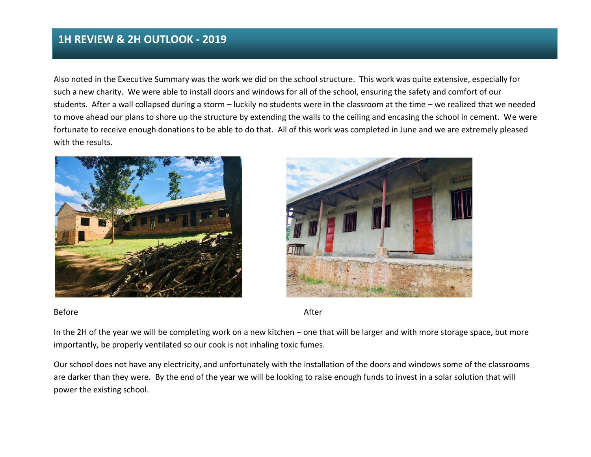Also noted in the Executive Summary was the work we did on the school structure. This work was quite extensive, especially for such a new charity. We were able to install doors and windows for all of the school, ensuring the safety and comfort of our students. After a wall collapsed during a storm – luckily no students were in the classroom at the time – we realized that we needed to move ahead our plans to shore up the structure by extending the walls to the ceiling and encasing the school in cement. We were fortunate to receive enough donations to be able to do that. All of this work was completed in June and we are extremely pleased with the results.





Before After Accounts and the Before After

In the 2H of the year we will be completing work on a new kitchen – one that will be larger and with more storage space, but more importantly, be properly ventilated so our cook is not inhaling toxic fumes.

Our school does not have any electricity, and unfortunately with the installation of the doors and windows some of the classrooms are darker than they were. By the end of the year we will be looking to raise enough funds to invest in a solar solution that will power the existing school.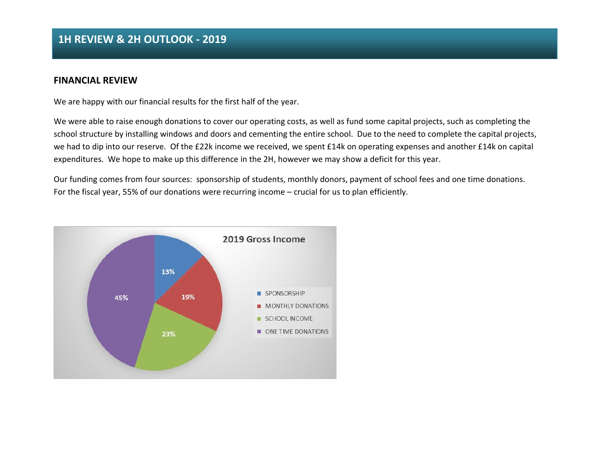#### **FINANCIAL REVIEW**

We are happy with our financial results for the first half of the year.

We were able to raise enough donations to cover our operating costs, as well as fund some capital projects, such as completing the school structure by installing windows and doors and cementing the entire school. Due to the need to complete the capital projects, we had to dip into our reserve. Of the £22k income we received, we spent £14k on operating expenses and another £14k on capital expenditures. We hope to make up this difference in the 2H, however we may show a deficit for this year.

Our funding comes from four sources: sponsorship of students, monthly donors, payment of school fees and one time donations. For the fiscal year, 55% of our donations were recurring income – crucial for us to plan efficiently.

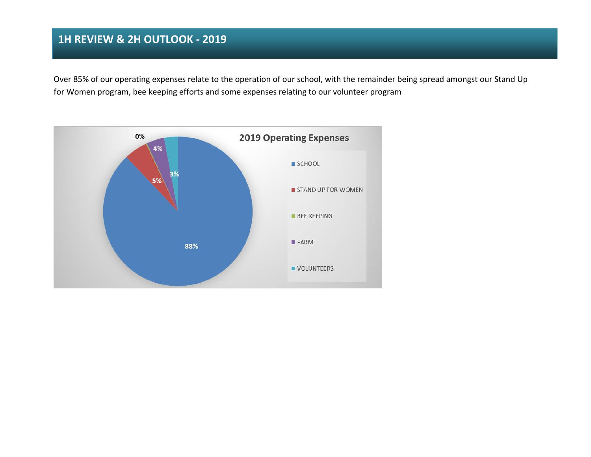Over 85% of our operating expenses relate to the operation of our school, with the remainder being spread amongst our Stand Up for Women program, bee keeping efforts and some expenses relating to our volunteer program

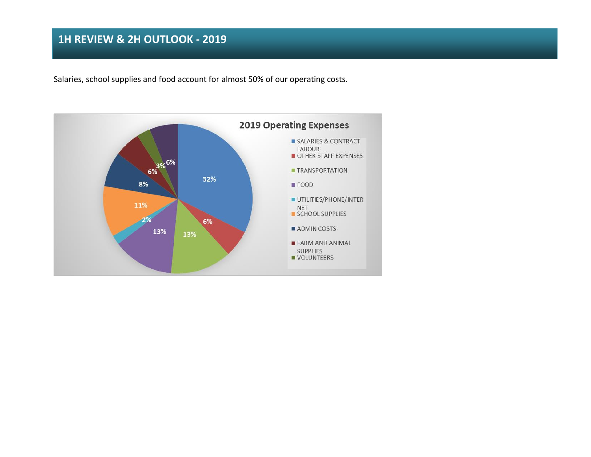Salaries, school supplies and food account for almost 50% of our operating costs.